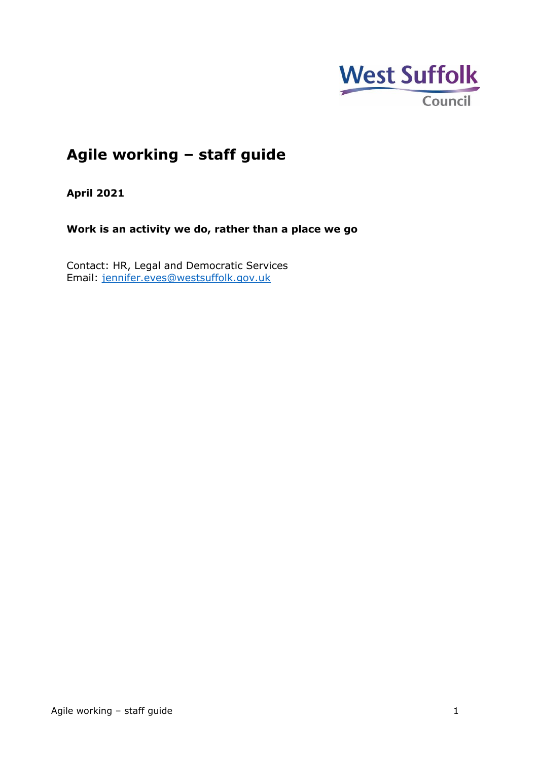

# **Agile working – staff guide**

**April 2021**

**Work is an activity we do, rather than a place we go**

Contact: HR, Legal and Democratic Services Email: [jennifer.eves@westsuffolk.gov.uk](mailto:jennifer.eves@westsuffolk.gov.uk)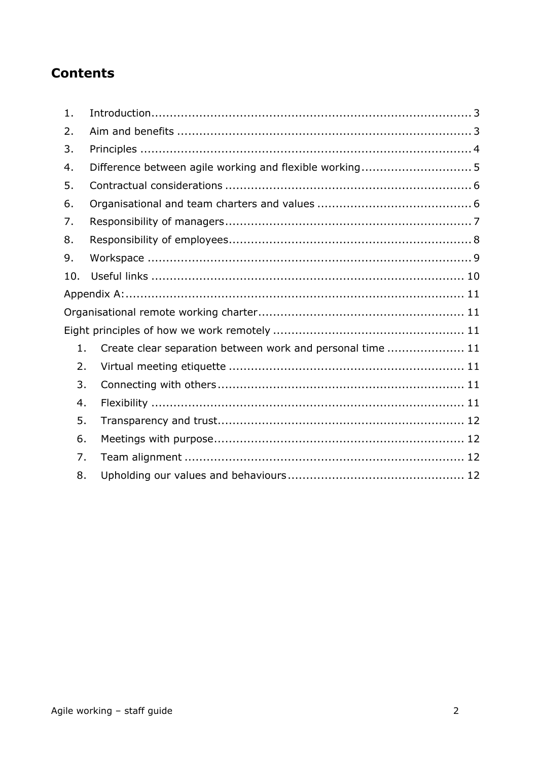# **Contents**

| 1.  |                                                            |  |  |  |
|-----|------------------------------------------------------------|--|--|--|
| 2.  |                                                            |  |  |  |
| 3.  |                                                            |  |  |  |
| 4.  | Difference between agile working and flexible working5     |  |  |  |
| 5.  |                                                            |  |  |  |
| 6.  |                                                            |  |  |  |
| 7.  |                                                            |  |  |  |
| 8.  |                                                            |  |  |  |
| 9.  |                                                            |  |  |  |
| 10. |                                                            |  |  |  |
|     |                                                            |  |  |  |
|     |                                                            |  |  |  |
|     |                                                            |  |  |  |
| 1.  | Create clear separation between work and personal time  11 |  |  |  |
| 2.  |                                                            |  |  |  |
| 3.  |                                                            |  |  |  |
| 4.  |                                                            |  |  |  |
| 5.  |                                                            |  |  |  |
| 6.  |                                                            |  |  |  |
| 7.  |                                                            |  |  |  |
| 8.  |                                                            |  |  |  |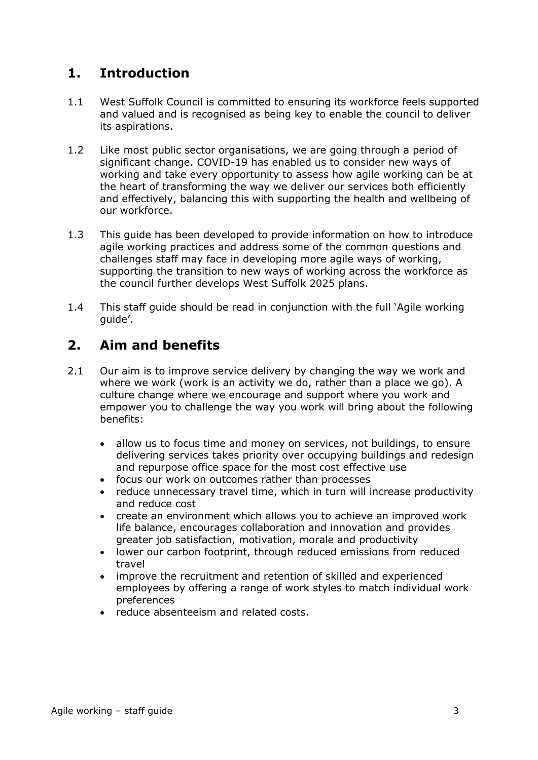## <span id="page-2-0"></span>**1. Introduction**

- 1.1 West Suffolk Council is committed to ensuring its workforce feels supported and valued and is recognised as being key to enable the council to deliver its aspirations.
- 1.2 Like most public sector organisations, we are going through a period of significant change. COVID-19 has enabled us to consider new ways of working and take every opportunity to assess how agile working can be at the heart of transforming the way we deliver our services both efficiently and effectively, balancing this with supporting the health and wellbeing of our workforce.
- 1.3 This guide has been developed to provide information on how to introduce agile working practices and address some of the common questions and challenges staff may face in developing more agile ways of working, supporting the transition to new ways of working across the workforce as the council further develops West Suffolk 2025 plans.
- 1.4 This staff guide should be read in conjunction with the full 'Agile working guide'.

## <span id="page-2-1"></span>**2. Aim and benefits**

- 2.1 Our aim is to improve service delivery by changing the way we work and where we work (work is an activity we do, rather than a place we go). A culture change where we encourage and support where you work and empower you to challenge the way you work will bring about the following benefits:
	- allow us to focus time and money on services, not buildings, to ensure delivering services takes priority over occupying buildings and redesign and repurpose office space for the most cost effective use
	- focus our work on outcomes rather than processes
	- reduce unnecessary travel time, which in turn will increase productivity and reduce cost
	- create an environment which allows you to achieve an improved work life balance, encourages collaboration and innovation and provides greater job satisfaction, motivation, morale and productivity
	- lower our carbon footprint, through reduced emissions from reduced travel
	- improve the recruitment and retention of skilled and experienced employees by offering a range of work styles to match individual work preferences
	- reduce absenteeism and related costs.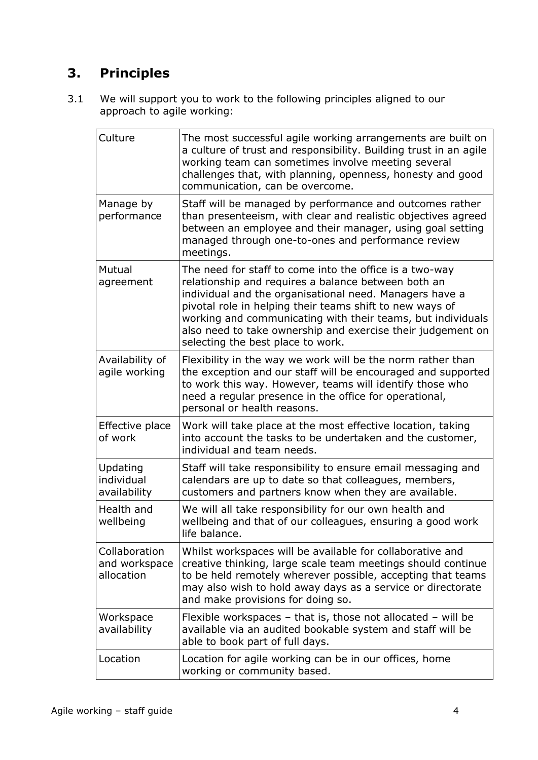# <span id="page-3-0"></span>**3. Principles**

3.1 We will support you to work to the following principles aligned to our approach to agile working:

| Culture                                      | The most successful agile working arrangements are built on<br>a culture of trust and responsibility. Building trust in an agile<br>working team can sometimes involve meeting several<br>challenges that, with planning, openness, honesty and good<br>communication, can be overcome.                                                                                                                  |
|----------------------------------------------|----------------------------------------------------------------------------------------------------------------------------------------------------------------------------------------------------------------------------------------------------------------------------------------------------------------------------------------------------------------------------------------------------------|
| Manage by<br>performance                     | Staff will be managed by performance and outcomes rather<br>than presenteeism, with clear and realistic objectives agreed<br>between an employee and their manager, using goal setting<br>managed through one-to-ones and performance review<br>meetings.                                                                                                                                                |
| Mutual<br>agreement                          | The need for staff to come into the office is a two-way<br>relationship and requires a balance between both an<br>individual and the organisational need. Managers have a<br>pivotal role in helping their teams shift to new ways of<br>working and communicating with their teams, but individuals<br>also need to take ownership and exercise their judgement on<br>selecting the best place to work. |
| Availability of<br>agile working             | Flexibility in the way we work will be the norm rather than<br>the exception and our staff will be encouraged and supported<br>to work this way. However, teams will identify those who<br>need a regular presence in the office for operational,<br>personal or health reasons.                                                                                                                         |
| Effective place<br>of work                   | Work will take place at the most effective location, taking<br>into account the tasks to be undertaken and the customer,<br>individual and team needs.                                                                                                                                                                                                                                                   |
| Updating<br>individual<br>availability       | Staff will take responsibility to ensure email messaging and<br>calendars are up to date so that colleagues, members,<br>customers and partners know when they are available.                                                                                                                                                                                                                            |
| Health and<br>wellbeing                      | We will all take responsibility for our own health and<br>wellbeing and that of our colleagues, ensuring a good work<br>life balance.                                                                                                                                                                                                                                                                    |
| Collaboration<br>and workspace<br>allocation | Whilst workspaces will be available for collaborative and<br>creative thinking, large scale team meetings should continue<br>to be held remotely wherever possible, accepting that teams<br>may also wish to hold away days as a service or directorate<br>and make provisions for doing so.                                                                                                             |
| Workspace<br>availability                    | Flexible workspaces $-$ that is, those not allocated $-$ will be<br>available via an audited bookable system and staff will be<br>able to book part of full days.                                                                                                                                                                                                                                        |
| Location                                     | Location for agile working can be in our offices, home<br>working or community based.                                                                                                                                                                                                                                                                                                                    |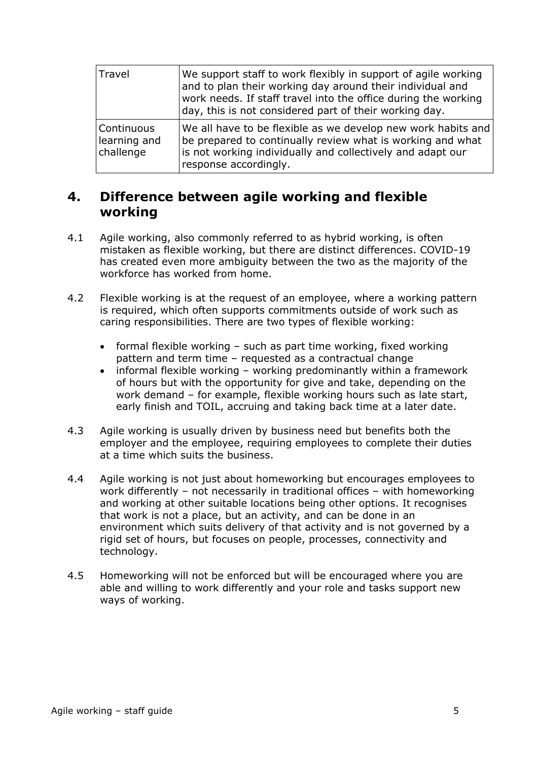| Travel                                  | We support staff to work flexibly in support of agile working<br>and to plan their working day around their individual and<br>work needs. If staff travel into the office during the working<br>day, this is not considered part of their working day. |
|-----------------------------------------|--------------------------------------------------------------------------------------------------------------------------------------------------------------------------------------------------------------------------------------------------------|
| Continuous<br>learning and<br>challenge | We all have to be flexible as we develop new work habits and<br>be prepared to continually review what is working and what<br>is not working individually and collectively and adapt our<br>response accordingly.                                      |

## <span id="page-4-0"></span>**4. Difference between agile working and flexible working**

- 4.1 Agile working, also commonly referred to as hybrid working, is often mistaken as flexible working, but there are distinct differences. COVID-19 has created even more ambiguity between the two as the majority of the workforce has worked from home.
- 4.2 Flexible working is at the request of an employee, where a working pattern is required, which often supports commitments outside of work such as caring responsibilities. There are two types of flexible working:
	- formal flexible working such as part time working, fixed working pattern and term time – requested as a contractual change
	- informal flexible working working predominantly within a framework of hours but with the opportunity for give and take, depending on the work demand – for example, flexible working hours such as late start, early finish and TOIL, accruing and taking back time at a later date.
- 4.3 Agile working is usually driven by business need but benefits both the employer and the employee, requiring employees to complete their duties at a time which suits the business.
- 4.4 Agile working is not just about homeworking but encourages employees to work differently – not necessarily in traditional offices – with homeworking and working at other suitable locations being other options. It recognises that work is not a place, but an activity, and can be done in an environment which suits delivery of that activity and is not governed by a rigid set of hours, but focuses on people, processes, connectivity and technology.
- 4.5 Homeworking will not be enforced but will be encouraged where you are able and willing to work differently and your role and tasks support new ways of working.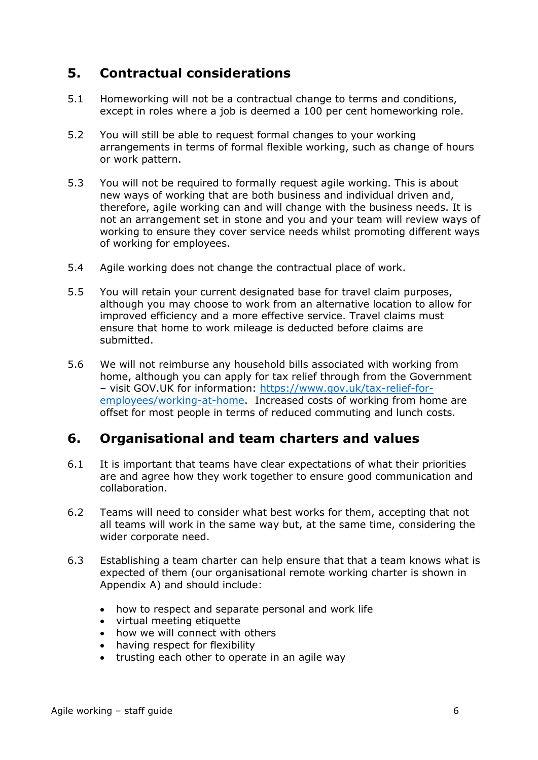## <span id="page-5-0"></span>**5. Contractual considerations**

- 5.1 Homeworking will not be a contractual change to terms and conditions, except in roles where a job is deemed a 100 per cent homeworking role.
- 5.2 You will still be able to request formal changes to your working arrangements in terms of formal flexible working, such as change of hours or work pattern.
- 5.3 You will not be required to formally request agile working. This is about new ways of working that are both business and individual driven and, therefore, agile working can and will change with the business needs. It is not an arrangement set in stone and you and your team will review ways of working to ensure they cover service needs whilst promoting different ways of working for employees.
- 5.4 Agile working does not change the contractual place of work.
- 5.5 You will retain your current designated base for travel claim purposes, although you may choose to work from an alternative location to allow for improved efficiency and a more effective service. Travel claims must ensure that home to work mileage is deducted before claims are submitted.
- 5.6 We will not reimburse any household bills associated with working from home, although you can apply for tax relief through from the Government – visit GOV.UK for information: [https://www.gov.uk/tax-relief-for](https://www.gov.uk/tax-relief-for-employees/working-at-home)[employees/working-at-home.](https://www.gov.uk/tax-relief-for-employees/working-at-home) Increased costs of working from home are offset for most people in terms of reduced commuting and lunch costs.

## <span id="page-5-1"></span>**6. Organisational and team charters and values**

- 6.1 It is important that teams have clear expectations of what their priorities are and agree how they work together to ensure good communication and collaboration.
- 6.2 Teams will need to consider what best works for them, accepting that not all teams will work in the same way but, at the same time, considering the wider corporate need.
- 6.3 Establishing a team charter can help ensure that that a team knows what is expected of them (our organisational remote working charter is shown in Appendix A) and should include:
	- how to respect and separate personal and work life
	- virtual meeting etiquette
	- how we will connect with others
	- having respect for flexibility
	- trusting each other to operate in an agile way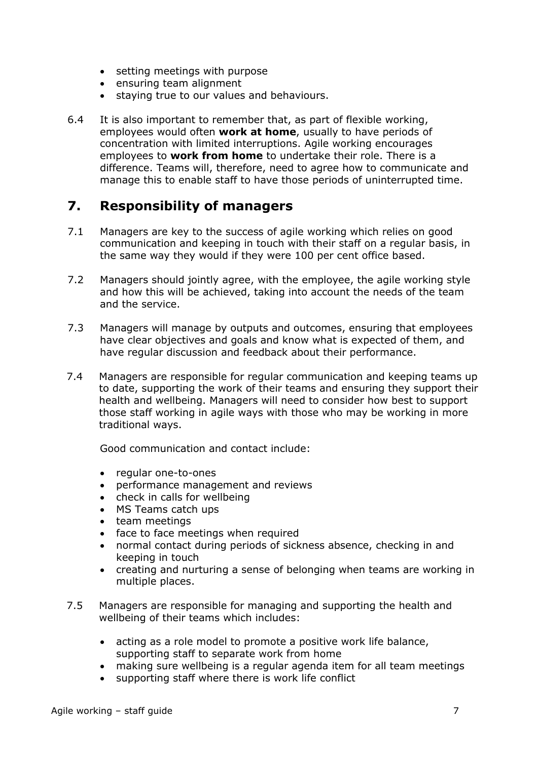- setting meetings with purpose
- ensuring team alignment
- staying true to our values and behaviours.
- 6.4 It is also important to remember that, as part of flexible working, employees would often **work at home**, usually to have periods of concentration with limited interruptions. Agile working encourages employees to **work from home** to undertake their role. There is a difference. Teams will, therefore, need to agree how to communicate and manage this to enable staff to have those periods of uninterrupted time.

## <span id="page-6-0"></span>**7. Responsibility of managers**

- 7.1 Managers are key to the success of agile working which relies on good communication and keeping in touch with their staff on a regular basis, in the same way they would if they were 100 per cent office based.
- 7.2 Managers should jointly agree, with the employee, the agile working style and how this will be achieved, taking into account the needs of the team and the service.
- 7.3 Managers will manage by outputs and outcomes, ensuring that employees have clear objectives and goals and know what is expected of them, and have regular discussion and feedback about their performance.
- 7.4 Managers are responsible for regular communication and keeping teams up to date, supporting the work of their teams and ensuring they support their health and wellbeing. Managers will need to consider how best to support those staff working in agile ways with those who may be working in more traditional ways.

Good communication and contact include:

- regular one-to-ones
- performance management and reviews
- check in calls for wellbeing
- MS Teams catch ups
- team meetings
- face to face meetings when required
- normal contact during periods of sickness absence, checking in and keeping in touch
- creating and nurturing a sense of belonging when teams are working in multiple places.
- 7.5 Managers are responsible for managing and supporting the health and wellbeing of their teams which includes:
	- acting as a role model to promote a positive work life balance, supporting staff to separate work from home
	- making sure wellbeing is a regular agenda item for all team meetings
	- supporting staff where there is work life conflict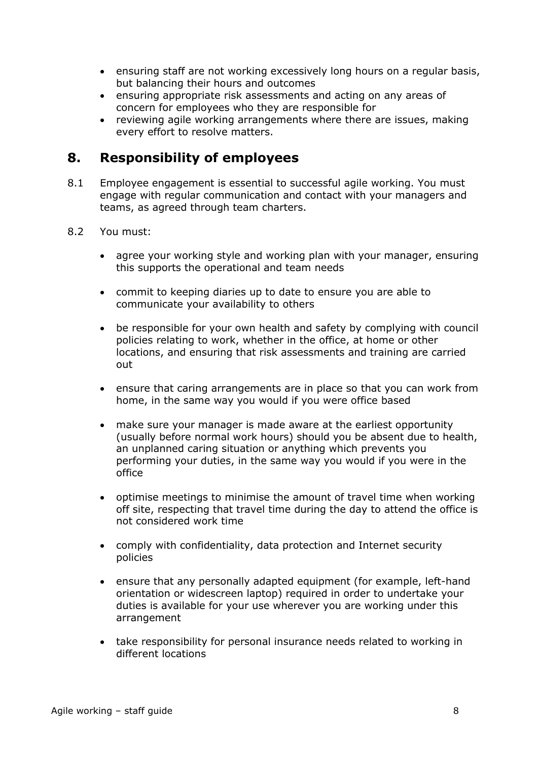- ensuring staff are not working excessively long hours on a regular basis, but balancing their hours and outcomes
- ensuring appropriate risk assessments and acting on any areas of concern for employees who they are responsible for
- reviewing agile working arrangements where there are issues, making every effort to resolve matters.

## <span id="page-7-0"></span>**8. Responsibility of employees**

- 8.1 Employee engagement is essential to successful agile working. You must engage with regular communication and contact with your managers and teams, as agreed through team charters.
- 8.2 You must:
	- agree your working style and working plan with your manager, ensuring this supports the operational and team needs
	- commit to keeping diaries up to date to ensure you are able to communicate your availability to others
	- be responsible for your own health and safety by complying with council policies relating to work, whether in the office, at home or other locations, and ensuring that risk assessments and training are carried out
	- ensure that caring arrangements are in place so that you can work from home, in the same way you would if you were office based
	- make sure your manager is made aware at the earliest opportunity (usually before normal work hours) should you be absent due to health, an unplanned caring situation or anything which prevents you performing your duties, in the same way you would if you were in the office
	- optimise meetings to minimise the amount of travel time when working off site, respecting that travel time during the day to attend the office is not considered work time
	- comply with confidentiality, data protection and Internet security policies
	- ensure that any personally adapted equipment (for example, left-hand orientation or widescreen laptop) required in order to undertake your duties is available for your use wherever you are working under this arrangement
	- take responsibility for personal insurance needs related to working in different locations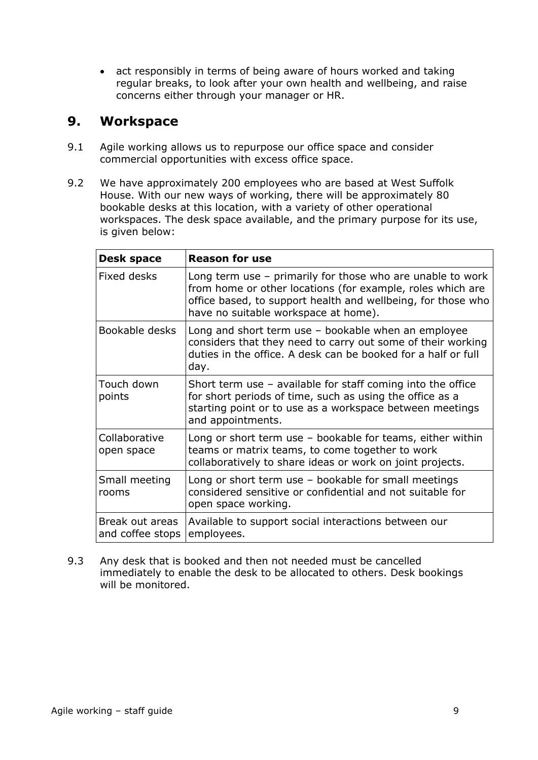• act responsibly in terms of being aware of hours worked and taking regular breaks, to look after your own health and wellbeing, and raise concerns either through your manager or HR.

## <span id="page-8-0"></span>**9. Workspace**

- 9.1 Agile working allows us to repurpose our office space and consider commercial opportunities with excess office space.
- 9.2 We have approximately 200 employees who are based at West Suffolk House. With our new ways of working, there will be approximately 80 bookable desks at this location, with a variety of other operational workspaces. The desk space available, and the primary purpose for its use, is given below:

| Desk space                          | <b>Reason for use</b>                                                                                                                                                                                                              |
|-------------------------------------|------------------------------------------------------------------------------------------------------------------------------------------------------------------------------------------------------------------------------------|
| Fixed desks                         | Long term use $-$ primarily for those who are unable to work<br>from home or other locations (for example, roles which are<br>office based, to support health and wellbeing, for those who<br>have no suitable workspace at home). |
| Bookable desks                      | Long and short term use $-$ bookable when an employee<br>considers that they need to carry out some of their working<br>duties in the office. A desk can be booked for a half or full<br>day.                                      |
| Touch down<br>points                | Short term use $-$ available for staff coming into the office<br>for short periods of time, such as using the office as a<br>starting point or to use as a workspace between meetings<br>and appointments.                         |
| Collaborative<br>open space         | Long or short term use $-$ bookable for teams, either within<br>teams or matrix teams, to come together to work<br>collaboratively to share ideas or work on joint projects.                                                       |
| Small meeting<br>rooms              | Long or short term use $-$ bookable for small meetings<br>considered sensitive or confidential and not suitable for<br>open space working.                                                                                         |
| Break out areas<br>and coffee stops | Available to support social interactions between our<br>employees.                                                                                                                                                                 |

9.3 Any desk that is booked and then not needed must be cancelled immediately to enable the desk to be allocated to others. Desk bookings will be monitored.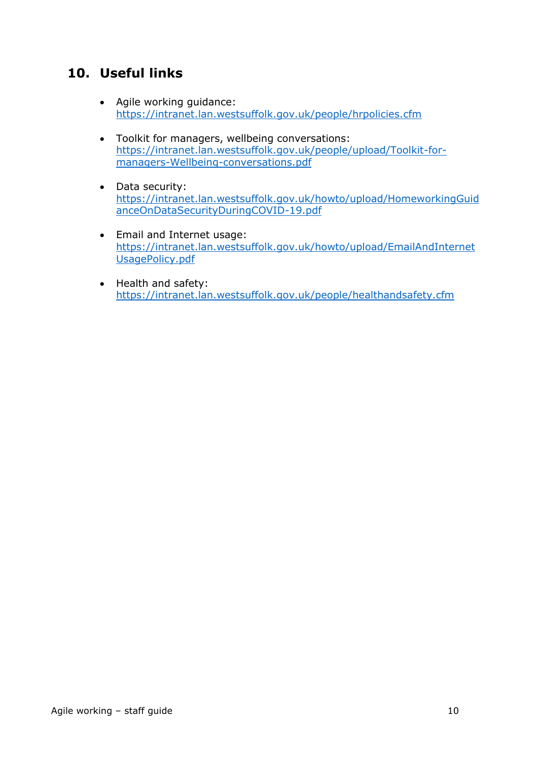# <span id="page-9-0"></span>**10. Useful links**

- Agile working guidance: <https://intranet.lan.westsuffolk.gov.uk/people/hrpolicies.cfm>
- Toolkit for managers, wellbeing conversations: [https://intranet.lan.westsuffolk.gov.uk/people/upload/Toolkit-for](https://intranet.lan.westsuffolk.gov.uk/people/upload/Toolkit-for-managers-Wellbeing-conversations.pdf)[managers-Wellbeing-conversations.pdf](https://intranet.lan.westsuffolk.gov.uk/people/upload/Toolkit-for-managers-Wellbeing-conversations.pdf)
- Data security: [https://intranet.lan.westsuffolk.gov.uk/howto/upload/HomeworkingGuid](https://intranet.lan.westsuffolk.gov.uk/howto/upload/HomeworkingGuidanceOnDataSecurityDuringCOVID-19.pdf) [anceOnDataSecurityDuringCOVID-19.pdf](https://intranet.lan.westsuffolk.gov.uk/howto/upload/HomeworkingGuidanceOnDataSecurityDuringCOVID-19.pdf)
- Email and Internet usage: [https://intranet.lan.westsuffolk.gov.uk/howto/upload/EmailAndInternet](https://intranet.lan.westsuffolk.gov.uk/howto/upload/EmailAndInternetUsagePolicy.pdf) [UsagePolicy.pdf](https://intranet.lan.westsuffolk.gov.uk/howto/upload/EmailAndInternetUsagePolicy.pdf)
- Health and safety: <https://intranet.lan.westsuffolk.gov.uk/people/healthandsafety.cfm>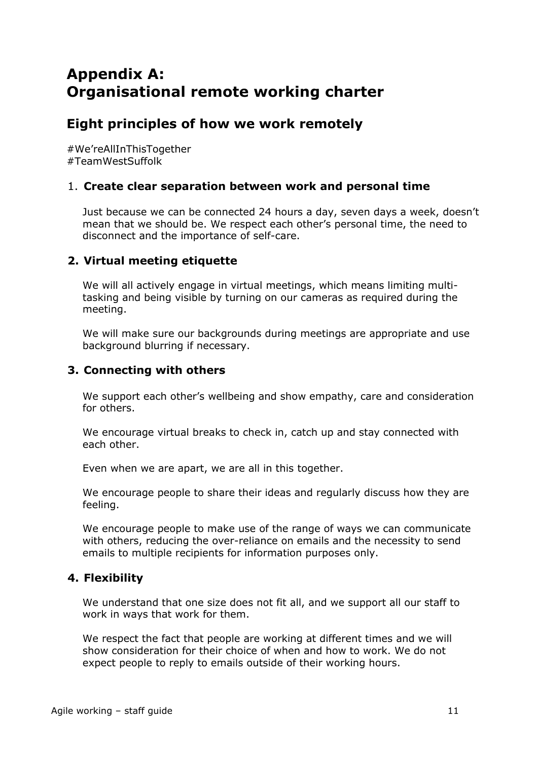# <span id="page-10-1"></span><span id="page-10-0"></span>**Appendix A: Organisational remote working charter**

## <span id="page-10-2"></span>**Eight principles of how we work remotely**

#We'reAllInThisTogether #TeamWestSuffolk

### <span id="page-10-3"></span>1. **Create clear separation between work and personal time**

Just because we can be connected 24 hours a day, seven days a week, doesn't mean that we should be. We respect each other's personal time, the need to disconnect and the importance of self-care.

### <span id="page-10-4"></span>**2. Virtual meeting etiquette**

We will all actively engage in virtual meetings, which means limiting multitasking and being visible by turning on our cameras as required during the meeting.

We will make sure our backgrounds during meetings are appropriate and use background blurring if necessary.

### <span id="page-10-5"></span>**3. Connecting with others**

We support each other's wellbeing and show empathy, care and consideration for others.

We encourage virtual breaks to check in, catch up and stay connected with each other.

Even when we are apart, we are all in this together.

We encourage people to share their ideas and regularly discuss how they are feeling.

We encourage people to make use of the range of ways we can communicate with others, reducing the over-reliance on emails and the necessity to send emails to multiple recipients for information purposes only.

## <span id="page-10-6"></span>**4. Flexibility**

We understand that one size does not fit all, and we support all our staff to work in ways that work for them.

We respect the fact that people are working at different times and we will show consideration for their choice of when and how to work. We do not expect people to reply to emails outside of their working hours.